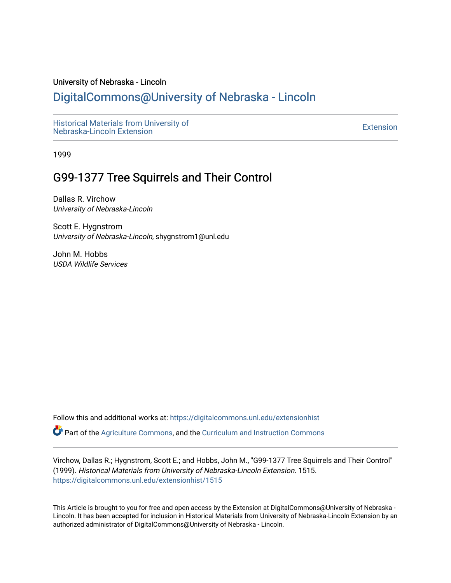#### University of Nebraska - Lincoln

# [DigitalCommons@University of Nebraska - Lincoln](https://digitalcommons.unl.edu/)

[Historical Materials from University of](https://digitalcommons.unl.edu/extensionhist)  nistorical Materials from Oniversity of the control of the control of the [Extension](https://digitalcommons.unl.edu/coop_extension) Extension extension of the<br>Nebraska-Lincoln Extension

1999

# G99-1377 Tree Squirrels and Their Control

Dallas R. Virchow University of Nebraska-Lincoln

Scott E. Hygnstrom University of Nebraska-Lincoln, shygnstrom1@unl.edu

John M. Hobbs USDA Wildlife Services

Follow this and additional works at: [https://digitalcommons.unl.edu/extensionhist](https://digitalcommons.unl.edu/extensionhist?utm_source=digitalcommons.unl.edu%2Fextensionhist%2F1515&utm_medium=PDF&utm_campaign=PDFCoverPages) 

Part of the [Agriculture Commons](http://network.bepress.com/hgg/discipline/1076?utm_source=digitalcommons.unl.edu%2Fextensionhist%2F1515&utm_medium=PDF&utm_campaign=PDFCoverPages), and the [Curriculum and Instruction Commons](http://network.bepress.com/hgg/discipline/786?utm_source=digitalcommons.unl.edu%2Fextensionhist%2F1515&utm_medium=PDF&utm_campaign=PDFCoverPages) 

Virchow, Dallas R.; Hygnstrom, Scott E.; and Hobbs, John M., "G99-1377 Tree Squirrels and Their Control" (1999). Historical Materials from University of Nebraska-Lincoln Extension. 1515. [https://digitalcommons.unl.edu/extensionhist/1515](https://digitalcommons.unl.edu/extensionhist/1515?utm_source=digitalcommons.unl.edu%2Fextensionhist%2F1515&utm_medium=PDF&utm_campaign=PDFCoverPages) 

This Article is brought to you for free and open access by the Extension at DigitalCommons@University of Nebraska - Lincoln. It has been accepted for inclusion in Historical Materials from University of Nebraska-Lincoln Extension by an authorized administrator of DigitalCommons@University of Nebraska - Lincoln.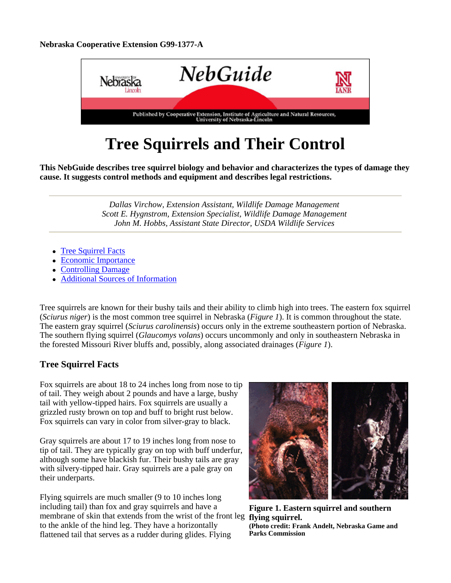#### **Nebraska Cooperative Extension G99-1377-A**



# **Tree Squirrels and Their Control**

**This NebGuide describes tree squirrel biology and behavior and characterizes the types of damage they cause. It suggests control methods and equipment and describes legal restrictions.**

> *Dallas Virchow, Extension Assistant, Wildlife Damage Management Scott E. Hygnstrom, Extension Specialist, Wildlife Damage Management John M. Hobbs, Assistant State Director, USDA Wildlife Services*

- Tree Squirrel Facts
- **Economic Importance**
- Controlling Damage
- Additional Sources of Information

Tree squirrels are known for their bushy tails and their ability to climb high into trees. The eastern fox squirrel (*Sciurus niger*) is the most common tree squirrel in Nebraska (*Figure 1*). It is common throughout the state. The eastern gray squirrel (*Sciurus carolinensis*) occurs only in the extreme southeastern portion of Nebraska. The southern flying squirrel (*Glaucomys volans*) occurs uncommonly and only in southeastern Nebraska in the forested Missouri River bluffs and, possibly, along associated drainages (*Figure 1*).

# **Tree Squirrel Facts**

Fox squirrels are about 18 to 24 inches long from nose to tip of tail. They weigh about 2 pounds and have a large, bushy tail with yellow-tipped hairs. Fox squirrels are usually a grizzled rusty brown on top and buff to bright rust below. Fox squirrels can vary in color from silver-gray to black.

Gray squirrels are about 17 to 19 inches long from nose to tip of tail. They are typically gray on top with buff underfur, although some have blackish fur. Their bushy tails are gray with silvery-tipped hair. Gray squirrels are a pale gray on their underparts.

Flying squirrels are much smaller (9 to 10 inches long including tail) than fox and gray squirrels and have a membrane of skin that extends from the wrist of the front leg **flying squirrel.**  to the ankle of the hind leg. They have a horizontally flattened tail that serves as a rudder during glides. Flying



**Figure 1. Eastern squirrel and southern (Photo credit: Frank Andelt, Nebraska Game and Parks Commission**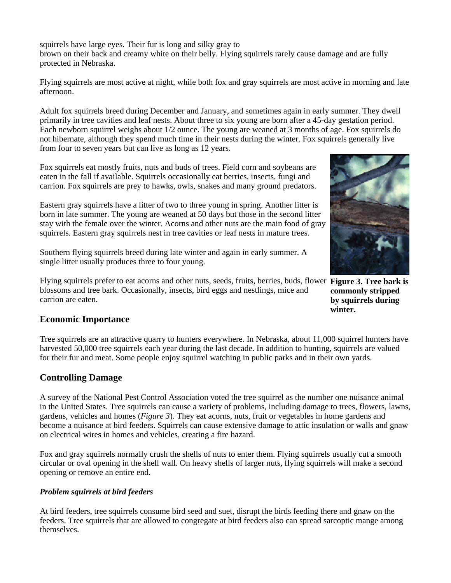squirrels have large eyes. Their fur is long and silky gray to brown on their back and creamy white on their belly. Flying squirrels rarely cause damage and are fully protected in Nebraska.

Flying squirrels are most active at night, while both fox and gray squirrels are most active in morning and late afternoon.

Adult fox squirrels breed during December and January, and sometimes again in early summer. They dwell primarily in tree cavities and leaf nests. About three to six young are born after a 45-day gestation period. Each newborn squirrel weighs about 1/2 ounce. The young are weaned at 3 months of age. Fox squirrels do not hibernate, although they spend much time in their nests during the winter. Fox squirrels generally live from four to seven years but can live as long as 12 years.

Fox squirrels eat mostly fruits, nuts and buds of trees. Field corn and soybeans are eaten in the fall if available. Squirrels occasionally eat berries, insects, fungi and carrion. Fox squirrels are prey to hawks, owls, snakes and many ground predators.

Eastern gray squirrels have a litter of two to three young in spring. Another litter is born in late summer. The young are weaned at 50 days but those in the second litter stay with the female over the winter. Acorns and other nuts are the main food of gray squirrels. Eastern gray squirrels nest in tree cavities or leaf nests in mature trees.

Southern flying squirrels breed during late winter and again in early summer. A single litter usually produces three to four young.

Flying squirrels prefer to eat acorns and other nuts, seeds, fruits, berries, buds, flower **Figure 3. Tree bark is**  blossoms and tree bark. Occasionally, insects, bird eggs and nestlings, mice and carrion are eaten.



**commonly stripped by squirrels during winter.**

# **Economic Importance**

Tree squirrels are an attractive quarry to hunters everywhere. In Nebraska, about 11,000 squirrel hunters have harvested 50,000 tree squirrels each year during the last decade. In addition to hunting, squirrels are valued for their fur and meat. Some people enjoy squirrel watching in public parks and in their own yards.

# **Controlling Damage**

A survey of the National Pest Control Association voted the tree squirrel as the number one nuisance animal in the United States. Tree squirrels can cause a variety of problems, including damage to trees, flowers, lawns, gardens, vehicles and homes (*Figure 3*). They eat acorns, nuts, fruit or vegetables in home gardens and become a nuisance at bird feeders. Squirrels can cause extensive damage to attic insulation or walls and gnaw on electrical wires in homes and vehicles, creating a fire hazard.

Fox and gray squirrels normally crush the shells of nuts to enter them. Flying squirrels usually cut a smooth circular or oval opening in the shell wall. On heavy shells of larger nuts, flying squirrels will make a second opening or remove an entire end.

#### *Problem squirrels at bird feeders*

At bird feeders, tree squirrels consume bird seed and suet, disrupt the birds feeding there and gnaw on the feeders. Tree squirrels that are allowed to congregate at bird feeders also can spread sarcoptic mange among themselves.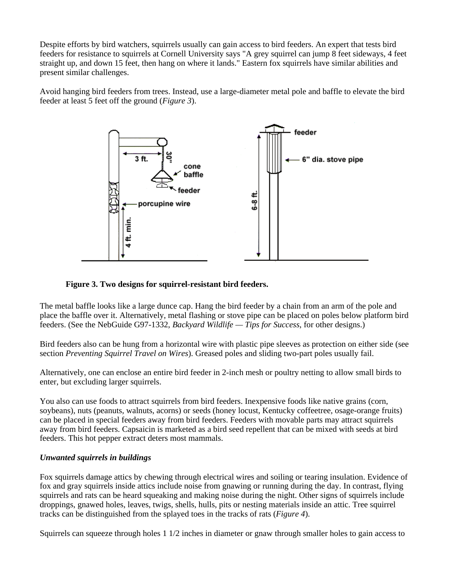Despite efforts by bird watchers, squirrels usually can gain access to bird feeders. An expert that tests bird feeders for resistance to squirrels at Cornell University says "A grey squirrel can jump 8 feet sideways, 4 feet straight up, and down 15 feet, then hang on where it lands." Eastern fox squirrels have similar abilities and present similar challenges.

Avoid hanging bird feeders from trees. Instead, use a large-diameter metal pole and baffle to elevate the bird feeder at least 5 feet off the ground (*Figure 3*).



#### **Figure 3. Two designs for squirrel-resistant bird feeders.**

The metal baffle looks like a large dunce cap. Hang the bird feeder by a chain from an arm of the pole and place the baffle over it. Alternatively, metal flashing or stove pipe can be placed on poles below platform bird feeders. (See the NebGuide G97-1332, *Backyard Wildlife — Tips for Success*, for other designs.)

Bird feeders also can be hung from a horizontal wire with plastic pipe sleeves as protection on either side (see section *Preventing Squirrel Travel on Wires*). Greased poles and sliding two-part poles usually fail.

Alternatively, one can enclose an entire bird feeder in 2-inch mesh or poultry netting to allow small birds to enter, but excluding larger squirrels.

You also can use foods to attract squirrels from bird feeders. Inexpensive foods like native grains (corn, soybeans), nuts (peanuts, walnuts, acorns) or seeds (honey locust, Kentucky coffeetree, osage-orange fruits) can be placed in special feeders away from bird feeders. Feeders with movable parts may attract squirrels away from bird feeders. Capsaicin is marketed as a bird seed repellent that can be mixed with seeds at bird feeders. This hot pepper extract deters most mammals.

#### *Unwanted squirrels in buildings*

Fox squirrels damage attics by chewing through electrical wires and soiling or tearing insulation. Evidence of fox and gray squirrels inside attics include noise from gnawing or running during the day. In contrast, flying squirrels and rats can be heard squeaking and making noise during the night. Other signs of squirrels include droppings, gnawed holes, leaves, twigs, shells, hulls, pits or nesting materials inside an attic. Tree squirrel tracks can be distinguished from the splayed toes in the tracks of rats (*Figure 4*).

Squirrels can squeeze through holes 1 1/2 inches in diameter or gnaw through smaller holes to gain access to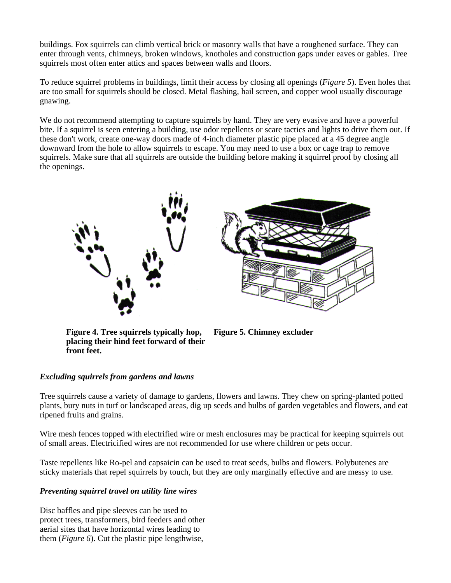buildings. Fox squirrels can climb vertical brick or masonry walls that have a roughened surface. They can enter through vents, chimneys, broken windows, knotholes and construction gaps under eaves or gables. Tree squirrels most often enter attics and spaces between walls and floors.

To reduce squirrel problems in buildings, limit their access by closing all openings (*Figure 5*). Even holes that are too small for squirrels should be closed. Metal flashing, hail screen, and copper wool usually discourage gnawing.

We do not recommend attempting to capture squirrels by hand. They are very evasive and have a powerful bite. If a squirrel is seen entering a building, use odor repellents or scare tactics and lights to drive them out. If these don't work, create one-way doors made of 4-inch diameter plastic pipe placed at a 45 degree angle downward from the hole to allow squirrels to escape. You may need to use a box or cage trap to remove squirrels. Make sure that all squirrels are outside the building before making it squirrel proof by closing all the openings.





**Figure 4. Tree squirrels typically hop, placing their hind feet forward of their front feet.**

**Figure 5. Chimney excluder**

### *Excluding squirrels from gardens and lawns*

Tree squirrels cause a variety of damage to gardens, flowers and lawns. They chew on spring-planted potted plants, bury nuts in turf or landscaped areas, dig up seeds and bulbs of garden vegetables and flowers, and eat ripened fruits and grains.

Wire mesh fences topped with electrified wire or mesh enclosures may be practical for keeping squirrels out of small areas. Electricified wires are not recommended for use where children or pets occur.

Taste repellents like Ro-pel and capsaicin can be used to treat seeds, bulbs and flowers. Polybutenes are sticky materials that repel squirrels by touch, but they are only marginally effective and are messy to use.

#### *Preventing squirrel travel on utility line wires*

Disc baffles and pipe sleeves can be used to protect trees, transformers, bird feeders and other aerial sites that have horizontal wires leading to them (*Figure 6*). Cut the plastic pipe lengthwise,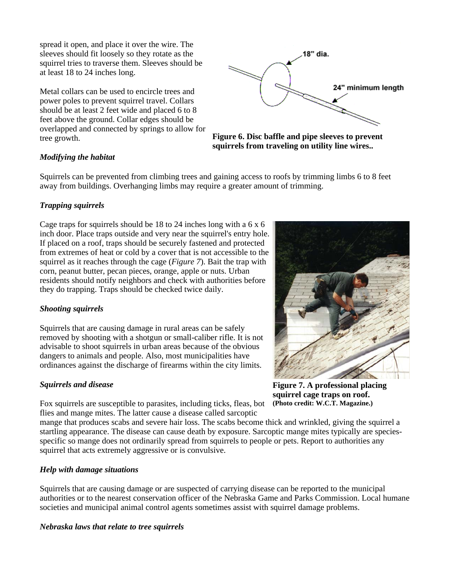spread it open, and place it over the wire. The sleeves should fit loosely so they rotate as the squirrel tries to traverse them. Sleeves should be at least 18 to 24 inches long.

Metal collars can be used to encircle trees and power poles to prevent squirrel travel. Collars should be at least 2 feet wide and placed 6 to 8 feet above the ground. Collar edges should be overlapped and connected by springs to allow for tree growth.



**Figure 6. Disc baffle and pipe sleeves to prevent squirrels from traveling on utility line wires..**

#### *Modifying the habitat*

Squirrels can be prevented from climbing trees and gaining access to roofs by trimming limbs 6 to 8 feet away from buildings. Overhanging limbs may require a greater amount of trimming.

#### *Trapping squirrels*

Cage traps for squirrels should be 18 to 24 inches long with a 6 x 6 inch door. Place traps outside and very near the squirrel's entry hole. If placed on a roof, traps should be securely fastened and protected from extremes of heat or cold by a cover that is not accessible to the squirrel as it reaches through the cage (*Figure 7*). Bait the trap with corn, peanut butter, pecan pieces, orange, apple or nuts. Urban residents should notify neighbors and check with authorities before they do trapping. Traps should be checked twice daily.

#### *Shooting squirrels*

Squirrels that are causing damage in rural areas can be safely removed by shooting with a shotgun or small-caliber rifle. It is not advisable to shoot squirrels in urban areas because of the obvious dangers to animals and people. Also, most municipalities have ordinances against the discharge of firearms within the city limits.

#### *Squirrels and disease*

Fox squirrels are susceptible to parasites, including ticks, fleas, bot flies and mange mites. The latter cause a disease called sarcoptic

mange that produces scabs and severe hair loss. The scabs become thick and wrinkled, giving the squirrel a startling appearance. The disease can cause death by exposure. Sarcoptic mange mites typically are speciesspecific so mange does not ordinarily spread from squirrels to people or pets. Report to authorities any squirrel that acts extremely aggressive or is convulsive.

#### *Help with damage situations*

Squirrels that are causing damage or are suspected of carrying disease can be reported to the municipal authorities or to the nearest conservation officer of the Nebraska Game and Parks Commission. Local humane societies and municipal animal control agents sometimes assist with squirrel damage problems.

#### *Nebraska laws that relate to tree squirrels*



**Figure 7. A professional placing squirrel cage traps on roof. (Photo credit: W.C.T. Magazine.)**